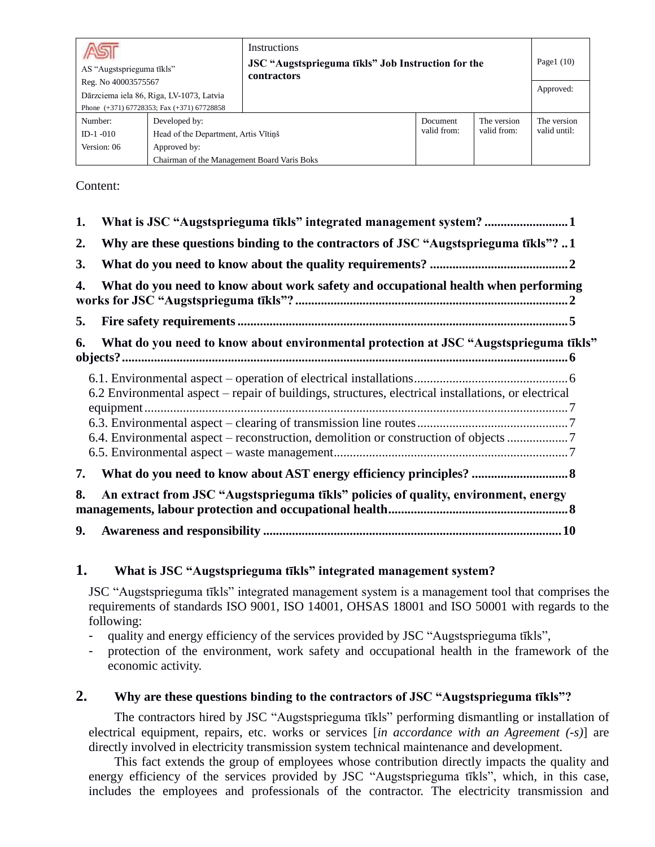| Reg. No 40003575567                  | <b>Instructions</b><br>JSC "Augstsprieguma tīkls" Job Instruction for the<br>AS "Augstsprieguma tīkls"<br>contractors<br>Dārzciema iela 86, Riga, LV-1073, Latvia<br>Phone $(+371)$ 67728353; Fax $(+371)$ 67728858 |  |                          | Page $1(10)$<br>Approved:  |                             |
|--------------------------------------|---------------------------------------------------------------------------------------------------------------------------------------------------------------------------------------------------------------------|--|--------------------------|----------------------------|-----------------------------|
| Number:<br>$ID-1-010$<br>Version: 06 | Developed by:<br>Head of the Department, Artis Vītiņš<br>Approved by:<br>Chairman of the Management Board Varis Boks                                                                                                |  | Document.<br>valid from: | The version<br>valid from: | The version<br>valid until: |

Content:

| 1.        | What is JSC "Augstsprieguma tīkls" integrated management system?                                    |
|-----------|-----------------------------------------------------------------------------------------------------|
| 2.        | Why are these questions binding to the contractors of JSC "Augstsprieguma tīkls"? 1                 |
| <b>3.</b> |                                                                                                     |
| 4.        | What do you need to know about work safety and occupational health when performing                  |
| 5.        |                                                                                                     |
| 6.        | What do you need to know about environmental protection at JSC "Augstsprieguma tīkls"               |
|           | 6.2 Environmental aspect – repair of buildings, structures, electrical installations, or electrical |
|           | 6.4. Environmental aspect – reconstruction, demolition or construction of objects                   |
| 7.        |                                                                                                     |
| 8.        | An extract from JSC "Augstsprieguma tīkls" policies of quality, environment, energy                 |
| 9.        |                                                                                                     |

# <span id="page-0-0"></span>**1. What is JSC "Augstsprieguma tīkls" integrated management system?**

JSC "Augstsprieguma tīkls" integrated management system is a management tool that comprises the requirements of standards ISO 9001, ISO 14001, OHSAS 18001 and ISO 50001 with regards to the following:

- quality and energy efficiency of the services provided by JSC "Augstsprieguma tīkls",
- protection of the environment, work safety and occupational health in the framework of the economic activity.

# <span id="page-0-1"></span>**2. Why are these questions binding to the contractors of JSC "Augstsprieguma tīkls"?**

The contractors hired by JSC "Augstsprieguma tīkls" performing dismantling or installation of electrical equipment, repairs, etc. works or services [*in accordance with an Agreement (-s)*] are directly involved in electricity transmission system technical maintenance and development.

This fact extends the group of employees whose contribution directly impacts the quality and energy efficiency of the services provided by JSC "Augstsprieguma tīkls", which, in this case, includes the employees and professionals of the contractor. The electricity transmission and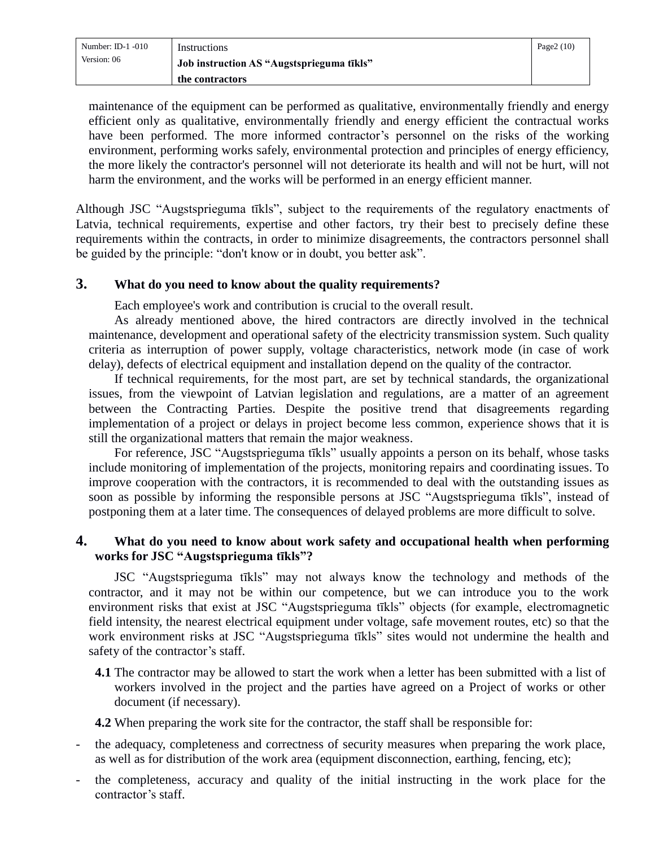| Number: ID-1 $-010$ | Instructions                              | Page $2(10)$ |
|---------------------|-------------------------------------------|--------------|
| Version: 06         | Job instruction AS "Augstsprieguma tīkls" |              |
|                     | the contractors                           |              |

maintenance of the equipment can be performed as qualitative, environmentally friendly and energy efficient only as qualitative, environmentally friendly and energy efficient the contractual works have been performed. The more informed contractor's personnel on the risks of the working environment, performing works safely, environmental protection and principles of energy efficiency, the more likely the contractor's personnel will not deteriorate its health and will not be hurt, will not harm the environment, and the works will be performed in an energy efficient manner.

Although JSC "Augstsprieguma tīkls", subject to the requirements of the regulatory enactments of Latvia, technical requirements, expertise and other factors, try their best to precisely define these requirements within the contracts, in order to minimize disagreements, the contractors personnel shall be guided by the principle: "don't know or in doubt, you better ask".

#### <span id="page-1-0"></span>**3. What do you need to know about the quality requirements?**

Each employee's work and contribution is crucial to the overall result.

As already mentioned above, the hired contractors are directly involved in the technical maintenance, development and operational safety of the electricity transmission system. Such quality criteria as interruption of power supply, voltage characteristics, network mode (in case of work delay), defects of electrical equipment and installation depend on the quality of the contractor.

If technical requirements, for the most part, are set by technical standards, the organizational issues, from the viewpoint of Latvian legislation and regulations, are a matter of an agreement between the Contracting Parties. Despite the positive trend that disagreements regarding implementation of a project or delays in project become less common, experience shows that it is still the organizational matters that remain the major weakness.

For reference, JSC "Augstsprieguma tīkls" usually appoints a person on its behalf, whose tasks include monitoring of implementation of the projects, monitoring repairs and coordinating issues. To improve cooperation with the contractors, it is recommended to deal with the outstanding issues as soon as possible by informing the responsible persons at JSC "Augstsprieguma tīkls", instead of postponing them at a later time. The consequences of delayed problems are more difficult to solve.

#### <span id="page-1-1"></span>**4. What do you need to know about work safety and occupational health when performing works for JSC "Augstsprieguma tīkls"?**

JSC "Augstsprieguma tīkls" may not always know the technology and methods of the contractor, and it may not be within our competence, but we can introduce you to the work environment risks that exist at JSC "Augstsprieguma tīkls" objects (for example, electromagnetic field intensity, the nearest electrical equipment under voltage, safe movement routes, etc) so that the work environment risks at JSC "Augstsprieguma tīkls" sites would not undermine the health and safety of the contractor's staff.

**4.1** The contractor may be allowed to start the work when a letter has been submitted with a list of workers involved in the project and the parties have agreed on a Project of works or other document (if necessary).

**4.2** When preparing the work site for the contractor, the staff shall be responsible for:

- the adequacy, completeness and correctness of security measures when preparing the work place, as well as for distribution of the work area (equipment disconnection, earthing, fencing, etc);
- the completeness, accuracy and quality of the initial instructing in the work place for the contractor's staff.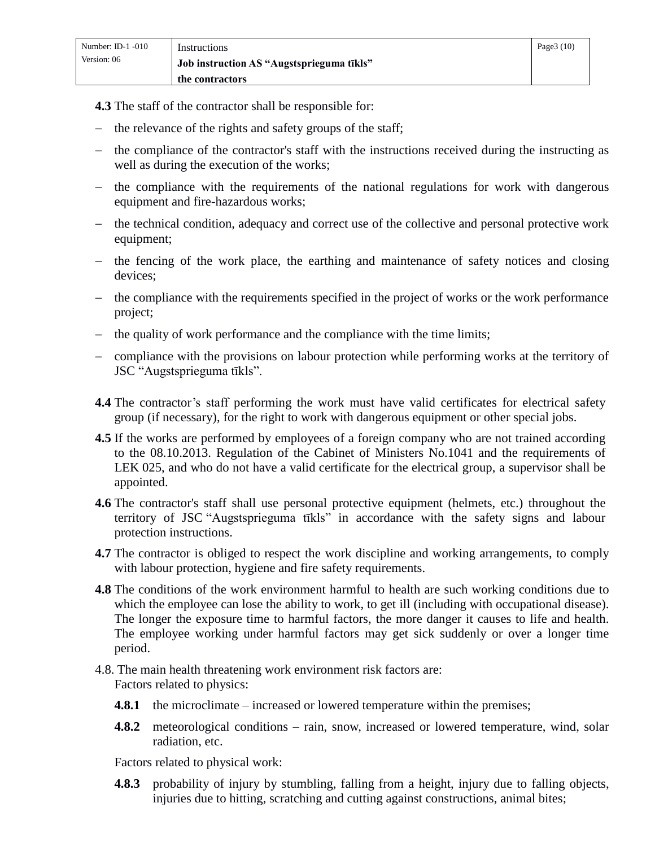**4.3** The staff of the contractor shall be responsible for:

- $-$  the relevance of the rights and safety groups of the staff;
- the compliance of the contractor's staff with the instructions received during the instructing as well as during the execution of the works;
- the compliance with the requirements of the national regulations for work with dangerous equipment and fire-hazardous works;
- the technical condition, adequacy and correct use of the collective and personal protective work equipment;
- $\hbar$  the fencing of the work place, the earthing and maintenance of safety notices and closing devices;
- the compliance with the requirements specified in the project of works or the work performance project;
- the quality of work performance and the compliance with the time limits;
- compliance with the provisions on labour protection while performing works at the territory of JSC "Augstsprieguma tīkls".
- **4.4** The contractor's staff performing the work must have valid certificates for electrical safety group (if necessary), for the right to work with dangerous equipment or other special jobs.
- **4.5** If the works are performed by employees of a foreign company who are not trained according to the 08.10.2013. Regulation of the Cabinet of Ministers No.1041 and the requirements of LEK 025, and who do not have a valid certificate for the electrical group, a supervisor shall be appointed.
- **4.6** The contractor's staff shall use personal protective equipment (helmets, etc.) throughout the territory of JSC "Augstsprieguma tīkls" in accordance with the safety signs and labour protection instructions.
- **4.7** The contractor is obliged to respect the work discipline and working arrangements, to comply with labour protection, hygiene and fire safety requirements.
- **4.8** The conditions of the work environment harmful to health are such working conditions due to which the employee can lose the ability to work, to get ill (including with occupational disease). The longer the exposure time to harmful factors, the more danger it causes to life and health. The employee working under harmful factors may get sick suddenly or over a longer time period.
- 4.8. The main health threatening work environment risk factors are: Factors related to physics:
	- **4.8.1** the microclimate increased or lowered temperature within the premises;
	- **4.8.2** meteorological conditions rain, snow, increased or lowered temperature, wind, solar radiation, etc.

Factors related to physical work:

**4.8.3** probability of injury by stumbling, falling from a height, injury due to falling objects, injuries due to hitting, scratching and cutting against constructions, animal bites;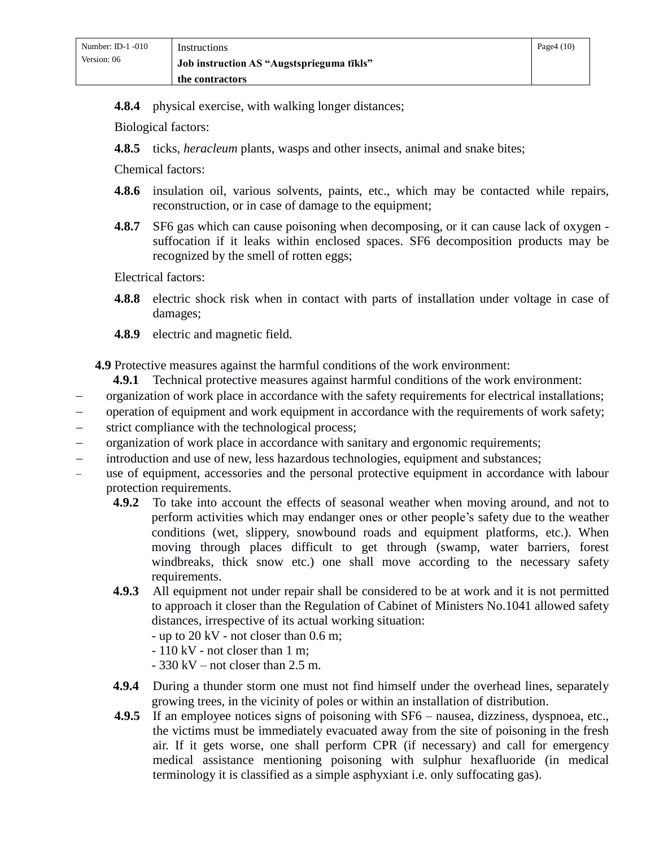**4.8.4** physical exercise, with walking longer distances;

Biological factors:

**4.8.5** ticks, *heracleum* plants, wasps and other insects, animal and snake bites;

Chemical factors:

- **4.8.6** insulation oil, various solvents, paints, etc., which may be contacted while repairs, reconstruction, or in case of damage to the equipment;
- **4.8.7** SF6 gas which can cause poisoning when decomposing, or it can cause lack of oxygen suffocation if it leaks within enclosed spaces. SF6 decomposition products may be recognized by the smell of rotten eggs;

Electrical factors:

- **4.8.8** electric shock risk when in contact with parts of installation under voltage in case of damages;
- **4.8.9** electric and magnetic field.

**4.9** Protective measures against the harmful conditions of the work environment:

- **4.9.1** Technical protective measures against harmful conditions of the work environment:
- organization of work place in accordance with the safety requirements for electrical installations;
- operation of equipment and work equipment in accordance with the requirements of work safety;
- strict compliance with the technological process;
- organization of work place in accordance with sanitary and ergonomic requirements;
- introduction and use of new, less hazardous technologies, equipment and substances;
- use of equipment, accessories and the personal protective equipment in accordance with labour protection requirements.
	- **4.9.2** To take into account the effects of seasonal weather when moving around, and not to perform activities which may endanger ones or other people's safety due to the weather conditions (wet, slippery, snowbound roads and equipment platforms, etc.). When moving through places difficult to get through (swamp, water barriers, forest windbreaks, thick snow etc.) one shall move according to the necessary safety requirements.
	- **4.9.3** All equipment not under repair shall be considered to be at work and it is not permitted to approach it closer than the Regulation of Cabinet of Ministers No.1041 allowed safety distances, irrespective of its actual working situation:
		- up to 20 kV not closer than 0.6 m;
		- 110 kV not closer than 1 m;
		- 330 kV not closer than 2.5 m.
	- **4.9.4** During a thunder storm one must not find himself under the overhead lines, separately growing trees, in the vicinity of poles or within an installation of distribution.
	- **4.9.5** If an employee notices signs of poisoning with SF6 nausea, dizziness, dyspnoea, etc., the victims must be immediately evacuated away from the site of poisoning in the fresh air. If it gets worse, one shall perform CPR (if necessary) and call for emergency medical assistance mentioning poisoning with sulphur hexafluoride (in medical terminology it is classified as a simple asphyxiant i.e. only suffocating gas).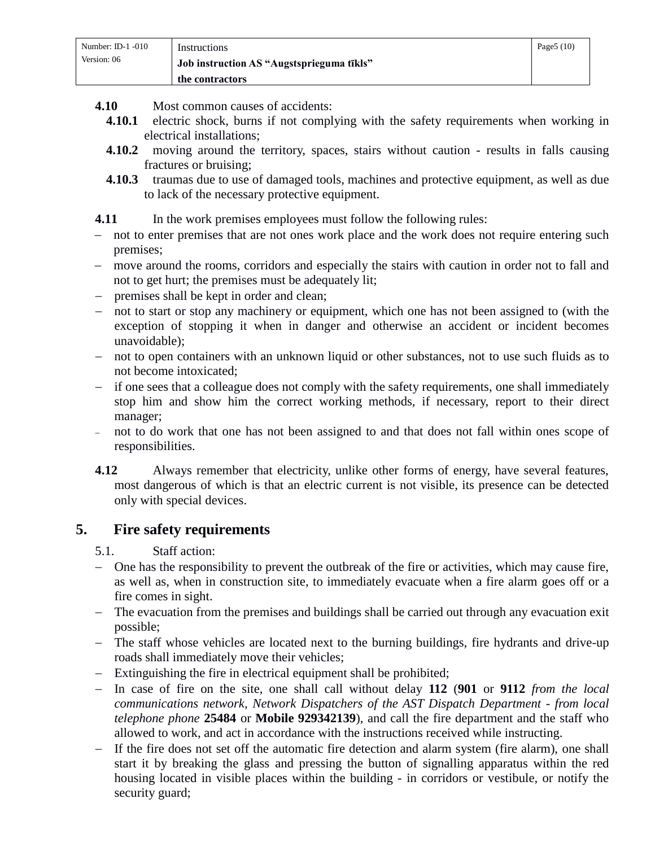| Number: ID-1 $-010$ | Instructions                              | Page $5(10)$ |
|---------------------|-------------------------------------------|--------------|
| Version: 06         | Job instruction AS "Augstsprieguma tīkls" |              |
|                     | the contractors                           |              |

- **4.10** Most common causes of accidents:
	- **4.10.1** electric shock, burns if not complying with the safety requirements when working in electrical installations;
	- **4.10.2** moving around the territory, spaces, stairs without caution results in falls causing fractures or bruising;
	- **4.10.3** traumas due to use of damaged tools, machines and protective equipment, as well as due to lack of the necessary protective equipment.

### **4.11** In the work premises employees must follow the following rules:

- not to enter premises that are not ones work place and the work does not require entering such premises;
- move around the rooms, corridors and especially the stairs with caution in order not to fall and not to get hurt; the premises must be adequately lit;
- premises shall be kept in order and clean;
- not to start or stop any machinery or equipment, which one has not been assigned to (with the exception of stopping it when in danger and otherwise an accident or incident becomes unavoidable);
- not to open containers with an unknown liquid or other substances, not to use such fluids as to not become intoxicated;
- if one sees that a colleague does not comply with the safety requirements, one shall immediately stop him and show him the correct working methods, if necessary, report to their direct manager;
- not to do work that one has not been assigned to and that does not fall within ones scope of responsibilities.
- **4.12** Always remember that electricity, unlike other forms of energy, have several features, most dangerous of which is that an electric current is not visible, its presence can be detected only with special devices.

# <span id="page-4-0"></span>**5. Fire safety requirements**

- 5.1. Staff action:
- One has the responsibility to prevent the outbreak of the fire or activities, which may cause fire, as well as, when in construction site, to immediately evacuate when a fire alarm goes off or a fire comes in sight.
- The evacuation from the premises and buildings shall be carried out through any evacuation exit possible;
- The staff whose vehicles are located next to the burning buildings, fire hydrants and drive-up roads shall immediately move their vehicles;
- Extinguishing the fire in electrical equipment shall be prohibited;
- In case of fire on the site, one shall call without delay **112** (**901** or **9112** *from the local communications network, Network Dispatchers of the AST Dispatch Department - from local telephone phone* **25484** or **Mobile 929342139**), and call the fire department and the staff who allowed to work, and act in accordance with the instructions received while instructing.
- If the fire does not set off the automatic fire detection and alarm system (fire alarm), one shall start it by breaking the glass and pressing the button of signalling apparatus within the red housing located in visible places within the building - in corridors or vestibule, or notify the security guard;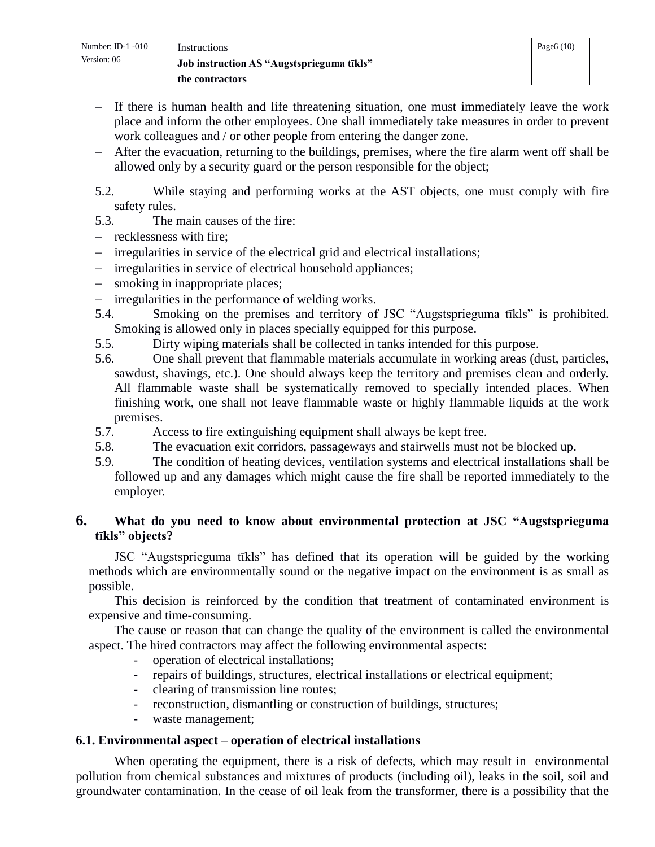- $-$  If there is human health and life threatening situation, one must immediately leave the work place and inform the other employees. One shall immediately take measures in order to prevent work colleagues and / or other people from entering the danger zone.
- After the evacuation, returning to the buildings, premises, where the fire alarm went off shall be allowed only by a security guard or the person responsible for the object;

5.2. While staying and performing works at the AST objects, one must comply with fire safety rules.

- 5.3. The main causes of the fire:
- $-$  recklessness with fire:
- irregularities in service of the electrical grid and electrical installations;
- irregularities in service of electrical household appliances;
- smoking in inappropriate places;
- irregularities in the performance of welding works.
- 5.4. Smoking on the premises and territory of JSC "Augstsprieguma tīkls" is prohibited. Smoking is allowed only in places specially equipped for this purpose.
- 5.5. Dirty wiping materials shall be collected in tanks intended for this purpose.
- 5.6. One shall prevent that flammable materials accumulate in working areas (dust, particles, sawdust, shavings, etc.). One should always keep the territory and premises clean and orderly. All flammable waste shall be systematically removed to specially intended places. When finishing work, one shall not leave flammable waste or highly flammable liquids at the work premises.
- 5.7. Access to fire extinguishing equipment shall always be kept free.
- 5.8. The evacuation exit corridors, passageways and stairwells must not be blocked up.
- 5.9. The condition of heating devices, ventilation systems and electrical installations shall be followed up and any damages which might cause the fire shall be reported immediately to the employer.

### <span id="page-5-0"></span>**6. What do you need to know about environmental protection at JSC "Augstsprieguma tīkls" objects?**

JSC "Augstsprieguma tīkls" has defined that its operation will be guided by the working methods which are environmentally sound or the negative impact on the environment is as small as possible.

This decision is reinforced by the condition that treatment of contaminated environment is expensive and time-consuming.

The cause or reason that can change the quality of the environment is called the environmental aspect. The hired contractors may affect the following environmental aspects:

- operation of electrical installations;
- repairs of buildings, structures, electrical installations or electrical equipment;
- clearing of transmission line routes;
- reconstruction, dismantling or construction of buildings, structures;
- waste management;

# <span id="page-5-1"></span>**6.1. Environmental aspect – operation of electrical installations**

When operating the equipment, there is a risk of defects, which may result in environmental pollution from chemical substances and mixtures of products (including oil), leaks in the soil, soil and groundwater contamination. In the cease of oil leak from the transformer, there is a possibility that the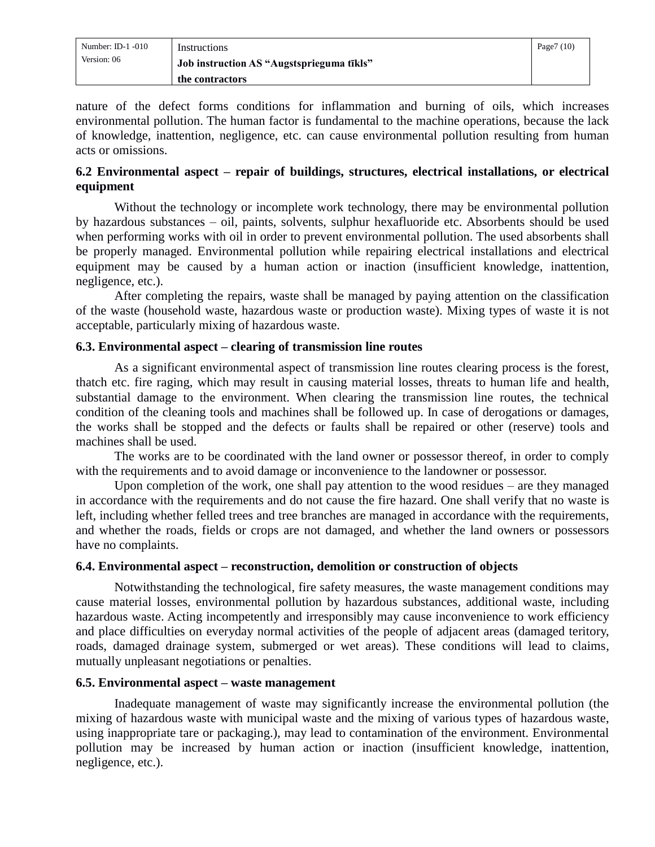| Number: ID-1 $-010$ | Instructions                              | Page $7(10)$ |
|---------------------|-------------------------------------------|--------------|
| Version: 06         | Job instruction AS "Augstsprieguma tīkls" |              |
|                     | the contractors                           |              |

nature of the defect forms conditions for inflammation and burning of oils, which increases environmental pollution. The human factor is fundamental to the machine operations, because the lack of knowledge, inattention, negligence, etc. can cause environmental pollution resulting from human acts or omissions.

### <span id="page-6-0"></span>**6.2 Environmental aspect – repair of buildings, structures, electrical installations, or electrical equipment**

Without the technology or incomplete work technology, there may be environmental pollution by hazardous substances – oil, paints, solvents, sulphur hexafluoride etc. Absorbents should be used when performing works with oil in order to prevent environmental pollution. The used absorbents shall be properly managed. Environmental pollution while repairing electrical installations and electrical equipment may be caused by a human action or inaction (insufficient knowledge, inattention, negligence, etc.).

After completing the repairs, waste shall be managed by paying attention on the classification of the waste (household waste, hazardous waste or production waste). Mixing types of waste it is not acceptable, particularly mixing of hazardous waste.

#### <span id="page-6-1"></span>**6.3. Environmental aspect – clearing of transmission line routes**

As a significant environmental aspect of transmission line routes clearing process is the forest, thatch etc. fire raging, which may result in causing material losses, threats to human life and health, substantial damage to the environment. When clearing the transmission line routes, the technical condition of the cleaning tools and machines shall be followed up. In case of derogations or damages, the works shall be stopped and the defects or faults shall be repaired or other (reserve) tools and machines shall be used.

The works are to be coordinated with the land owner or possessor thereof, in order to comply with the requirements and to avoid damage or inconvenience to the landowner or possessor.

Upon completion of the work, one shall pay attention to the wood residues – are they managed in accordance with the requirements and do not cause the fire hazard. One shall verify that no waste is left, including whether felled trees and tree branches are managed in accordance with the requirements, and whether the roads, fields or crops are not damaged, and whether the land owners or possessors have no complaints.

#### <span id="page-6-2"></span>**6.4. Environmental aspect – reconstruction, demolition or construction of objects**

Notwithstanding the technological, fire safety measures, the waste management conditions may cause material losses, environmental pollution by hazardous substances, additional waste, including hazardous waste. Acting incompetently and irresponsibly may cause inconvenience to work efficiency and place difficulties on everyday normal activities of the people of adjacent areas (damaged teritory, roads, damaged drainage system, submerged or wet areas). These conditions will lead to claims, mutually unpleasant negotiations or penalties.

#### <span id="page-6-3"></span>**6.5. Environmental aspect – waste management**

Inadequate management of waste may significantly increase the environmental pollution (the mixing of hazardous waste with municipal waste and the mixing of various types of hazardous waste, using inappropriate tare or packaging.), may lead to contamination of the environment. Environmental pollution may be increased by human action or inaction (insufficient knowledge, inattention, negligence, etc.).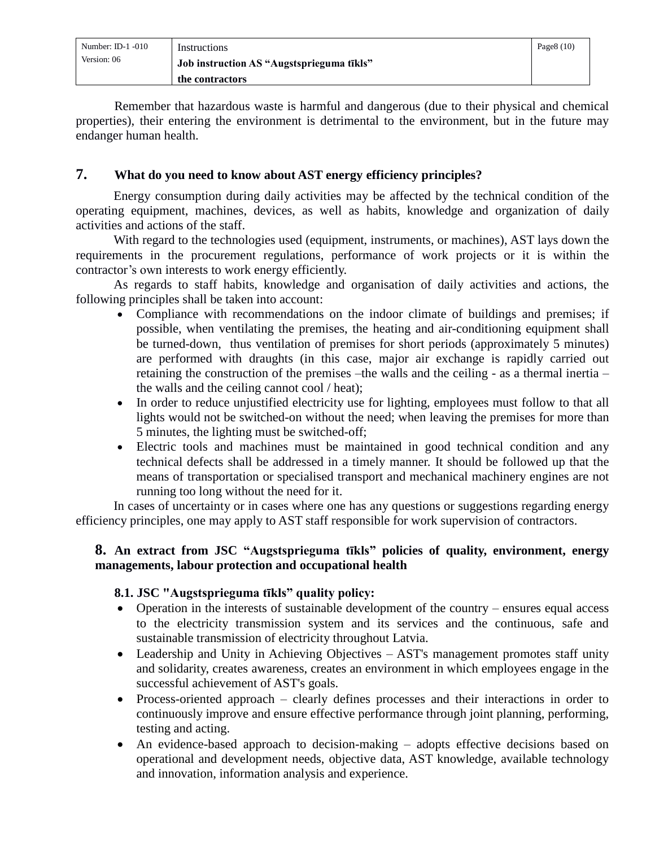| Number: ID-1 $-010$ | Instructions                              | Page $8(10)$ |
|---------------------|-------------------------------------------|--------------|
| Version: 06         | Job instruction AS "Augstsprieguma tīkls" |              |
|                     | the contractors                           |              |

Remember that hazardous waste is harmful and dangerous (due to their physical and chemical properties), their entering the environment is detrimental to the environment, but in the future may endanger human health.

### <span id="page-7-0"></span>**7. What do you need to know about AST energy efficiency principles?**

Energy consumption during daily activities may be affected by the technical condition of the operating equipment, machines, devices, as well as habits, knowledge and organization of daily activities and actions of the staff.

With regard to the technologies used (equipment, instruments, or machines), AST lays down the requirements in the procurement regulations, performance of work projects or it is within the contractor's own interests to work energy efficiently.

As regards to staff habits, knowledge and organisation of daily activities and actions, the following principles shall be taken into account:

- Compliance with recommendations on the indoor climate of buildings and premises; if possible, when ventilating the premises, the heating and air-conditioning equipment shall be turned-down, thus ventilation of premises for short periods (approximately 5 minutes) are performed with draughts (in this case, major air exchange is rapidly carried out retaining the construction of the premises –the walls and the ceiling - as a thermal inertia – the walls and the ceiling cannot cool / heat);
- In order to reduce unjustified electricity use for lighting, employees must follow to that all lights would not be switched-on without the need; when leaving the premises for more than 5 minutes, the lighting must be switched-off;
- Electric tools and machines must be maintained in good technical condition and any technical defects shall be addressed in a timely manner. It should be followed up that the means of transportation or specialised transport and mechanical machinery engines are not running too long without the need for it.

In cases of uncertainty or in cases where one has any questions or suggestions regarding energy efficiency principles, one may apply to AST staff responsible for work supervision of contractors.

### <span id="page-7-1"></span>**8. An extract from JSC "Augstsprieguma tīkls" policies of quality, environment, energy managements, labour protection and occupational health**

### **8.1. JSC "Augstsprieguma tīkls" quality policy:**

- Operation in the interests of sustainable development of the country ensures equal access to the electricity transmission system and its services and the continuous, safe and sustainable transmission of electricity throughout Latvia.
- Leadership and Unity in Achieving Objectives AST's management promotes staff unity and solidarity, creates awareness, creates an environment in which employees engage in the successful achievement of AST's goals.
- Process-oriented approach clearly defines processes and their interactions in order to continuously improve and ensure effective performance through joint planning, performing, testing and acting.
- An evidence-based approach to decision-making adopts effective decisions based on operational and development needs, objective data, AST knowledge, available technology and innovation, information analysis and experience.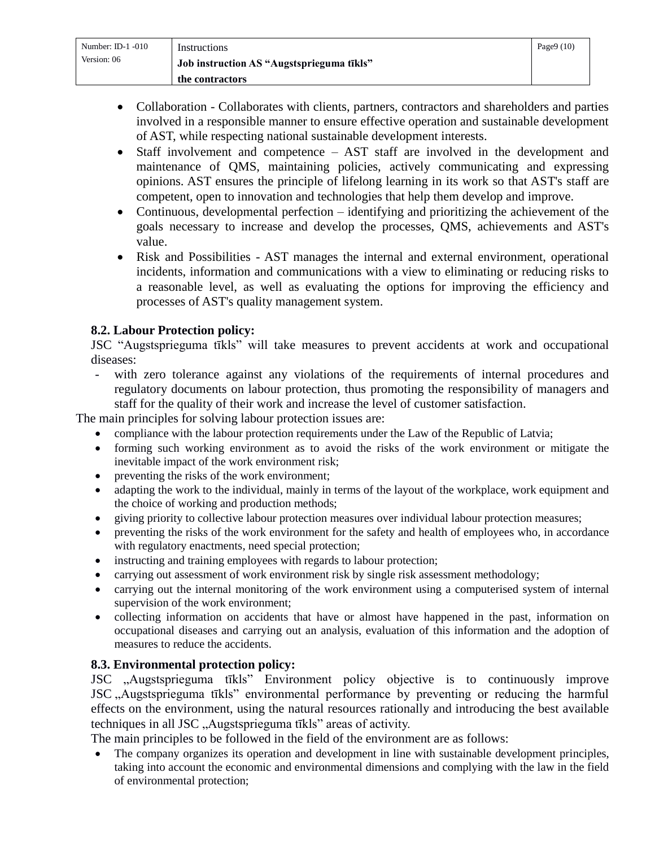| Number: ID-1 $-010$ | Instructions                              | Page $9(10)$ |
|---------------------|-------------------------------------------|--------------|
| Version: 06         | Job instruction AS "Augstsprieguma tīkls" |              |
|                     | the contractors                           |              |

- Collaboration Collaborates with clients, partners, contractors and shareholders and parties involved in a responsible manner to ensure effective operation and sustainable development of AST, while respecting national sustainable development interests.
- Staff involvement and competence AST staff are involved in the development and maintenance of QMS, maintaining policies, actively communicating and expressing opinions. AST ensures the principle of lifelong learning in its work so that AST's staff are competent, open to innovation and technologies that help them develop and improve.
- Continuous, developmental perfection identifying and prioritizing the achievement of the goals necessary to increase and develop the processes, QMS, achievements and AST's value.
- Risk and Possibilities AST manages the internal and external environment, operational incidents, information and communications with a view to eliminating or reducing risks to a reasonable level, as well as evaluating the options for improving the efficiency and processes of AST's quality management system.

### **8.2. Labour Protection policy:**

JSC "Augstsprieguma tīkls" will take measures to prevent accidents at work and occupational diseases:

- with zero tolerance against any violations of the requirements of internal procedures and regulatory documents on labour protection, thus promoting the responsibility of managers and staff for the quality of their work and increase the level of customer satisfaction.

The main principles for solving labour protection issues are:

- compliance with the labour protection requirements under the Law of the Republic of Latvia;
- forming such working environment as to avoid the risks of the work environment or mitigate the inevitable impact of the work environment risk;
- preventing the risks of the work environment;
- adapting the work to the individual, mainly in terms of the layout of the workplace, work equipment and the choice of working and production methods;
- giving priority to collective labour protection measures over individual labour protection measures;
- preventing the risks of the work environment for the safety and health of employees who, in accordance with regulatory enactments, need special protection;
- instructing and training employees with regards to labour protection;
- carrying out assessment of work environment risk by single risk assessment methodology;
- carrying out the internal monitoring of the work environment using a computerised system of internal supervision of the work environment;
- collecting information on accidents that have or almost have happened in the past, information on occupational diseases and carrying out an analysis, evaluation of this information and the adoption of measures to reduce the accidents.

# **8.3. Environmental protection policy:**

JSC "Augstsprieguma tīkls" Environment policy objective is to continuously improve JSC "Augstsprieguma tīkls" environmental performance by preventing or reducing the harmful effects on the environment, using the natural resources rationally and introducing the best available techniques in all JSC "Augstsprieguma tīkls" areas of activity.

The main principles to be followed in the field of the environment are as follows:

 The company organizes its operation and development in line with sustainable development principles, taking into account the economic and environmental dimensions and complying with the law in the field of environmental protection;